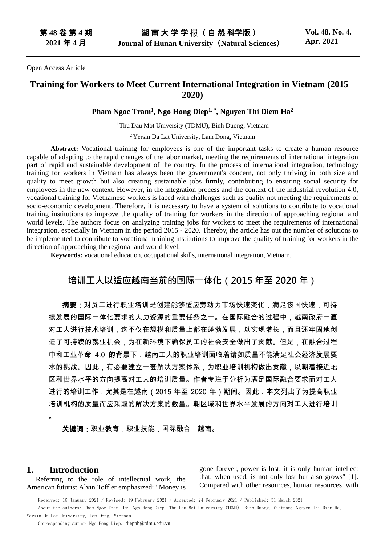Open Access Article

## **Training for Workers to Meet Current International Integration in Vietnam (2015 – 2020)**

#### **Pham Ngoc Tram<sup>1</sup> , Ngo Hong Diep1, \* , Nguyen Thi Diem Ha<sup>2</sup>**

<sup>1</sup> Thu Dau Mot University (TDMU), Binh Duong, Vietnam

<sup>2</sup> Yersin Da Lat University, Lam Dong, Vietnam

**Abstract:** Vocational training for employees is one of the important tasks to create a human resource capable of adapting to the rapid changes of the labor market, meeting the requirements of international integration part of rapid and sustainable development of the country. In the process of international integration, technology training for workers in Vietnam has always been the government's concern, not only thriving in both size and quality to meet growth but also creating sustainable jobs firmly, contributing to ensuring social security for employees in the new context. However, in the integration process and the context of the industrial revolution 4.0, vocational training for Vietnamese workers is faced with challenges such as quality not meeting the requirements of socio-economic development. Therefore, it is necessary to have a system of solutions to contribute to vocational training institutions to improve the quality of training for workers in the direction of approaching regional and world levels. The authors focus on analyzing training jobs for workers to meet the requirements of international integration, especially in Vietnam in the period 2015 - 2020. Thereby, the article has out the number of solutions to be implemented to contribute to vocational training institutions to improve the quality of training for workers in the direction of approaching the regional and world level.

**Keywords:** vocational education, occupational skills, international integration, Vietnam.

# **培训工人以适应越南当前的国际一体化(2015 年至 2020 年)**

**摘要:**对员工进行职业培训是创建能够适应劳动力市场快速变化,满足该国快速,可持 续发展的国际一体化要求的人力资源的重要任务之一。在国际融合的过程中,越南政府一直 对工人进行技术培训,这不仅在规模和质量上都在蓬勃发展,以实现增长,而且还牢固地创 造了可持续的就业机会,为在新环境下确保员工的社会安全做出了贡献。但是,在融合过程 中和工业革命 4.0 的背景下,越南工人的职业培训面临着诸如质量不能满足社会经济发展要 求的挑战。因此,有必要建立一套解决方案体系,为职业培训机构做出贡献,以朝着接近地 区和世界水平的方向提高对工人的培训质量。作者专注于分析为满足国际融合要求而对工人 进行的培训工作,尤其是在越南(2015 年至 2020 年)期间。因此,本文列出了为提高职业 培训机构的质量而应采取的解决方案的数量。朝区域和世界水平发展的方向对工人进行培训

关键词:职业教育,职业技能,国际融合,越南。

#### **1. Introduction**

。

Referring to the role of intellectual work, the American futurist Alvin Toffler emphasized: "Money is

gone forever, power is lost; it is only human intellect that, when used, is not only lost but also grows" [1]. Compared with other resources, human resources, with

Received: 16 January 2021 / Revised: 19 February 2021 / Accepted: 24 February 2021 / Published: 31 March 2021 About the authors: Pham Ngoc Tram, Dr. Ngo Hong Diep, Thu Dau Mot University (TDMU), Binh Duong, Vietnam; Nguyen Thi Diem Ha, Yersin Da Lat University, Lam Dong, Vietnam

Corresponding author Ngo Hong Diep, [diеpnh@tdmu.edu.vn](mailto:diеpnh@tdmu.edu.vn)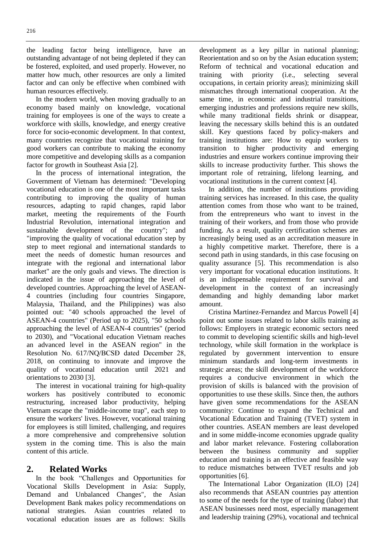the leading factor being intelligence, have an outstanding advantage of not being depleted if they can be fostered, exploited, and used properly. However, no matter how much, other resources are only a limited factor and can only be effective when combined with human resources effectively.

In the modern world, when moving gradually to an economy based mainly on knowledge, vocational training for employees is one of the ways to create a workforce with skills, knowledge, and energy creative force for socio-economic development. In that context, many countries recognize that vocational training for good workers can contribute to making the economy more competitive and developing skills as a companion factor for growth in Southeast Asia [2].

In the process of international integration, the Government of Vietnam has determined: "Developing vocational education is one of the most important tasks contributing to improving the quality of human resources, adapting to rapid changes, rapid labor market, meeting the requirements of the Fourth Industrial Revolution, international integration and sustainable development of the country"; and "improving the quality of vocational education step by step to meet regional and international standards to meet the needs of domestic human resources and integrate with the regional and international labor market" are the only goals and views. The direction is indicated in the issue of approaching the level of developed countries. Approaching the level of ASEAN-4 countries (including four countries Singapore, Malaysia, Thailand, and the Philippines) was also pointed out: "40 schools approached the level of ASEAN-4 countries" (Period up to 2025), "50 schools approaching the level of ASEAN-4 countries" (period to 2030), and "Vocational education Vietnam reaches an advanced level in the ASEAN region" in the Resolution No. 617/NQ/BCSĐ dated December 28, 2018, on continuing to innovate and improve the quality of vocational education until 2021 and orientations to 2030 [3].

The interest in vocational training for high-quality workers has positively contributed to economic restructuring, increased labor productivity, helping Vietnam escape the "middle-income trap", each step to ensure the workers' lives. However, vocational training for employees is still limited, challenging, and requires a more comprehensive and comprehensive solution system in the coming time. This is also the main content of this article.

#### **2. Related Works**

In the book "Challenges and Opportunities for Vocational Skills Development in Asia: Supply, Demand and Unbalanced Changes", the Asian Development Bank makes policy recommendations on national strategies. Asian countries related to vocational education issues are as follows: Skills

development as a key pillar in national planning; Reorientation and so on by the Asian education system; Reform of technical and vocational education and training with priority (i.e., selecting several occupations, in certain priority areas); minimizing skill mismatches through international cooperation. At the same time, in economic and industrial transitions, emerging industries and professions require new skills, while many traditional fields shrink or disappear, leaving the necessary skills behind this is an outdated skill. Key questions faced by policy-makers and training institutions are: How to equip workers to transition to higher productivity and emerging industries and ensure workers continue improving their skills to increase productivity further. This shows the important role of retraining, lifelong learning, and vocational institutions in the current context [4].

In addition, the number of institutions providing training services has increased. In this case, the quality attention comes from those who want to be trained, from the entrepreneurs who want to invest in the training of their workers, and from those who provide funding. As a result, quality certification schemes are increasingly being used as an accreditation measure in a highly competitive market. Therefore, there is a second path in using standards, in this case focusing on quality assurance [5]. This recommendation is also very important for vocational education institutions. It is an indispensable requirement for survival and development in the context of an increasingly demanding and highly demanding labor market amount.

Cristina Martinez-Fernandez and Marcus Powell [4] point out some issues related to labor skills training as follows: Employers in strategic economic sectors need to commit to developing scientific skills and high-level technology, while skill formation in the workplace is regulated by government intervention to ensure minimum standards and long-term investments in strategic areas; the skill development of the workforce requires a conducive environment in which the provision of skills is balanced with the provision of opportunities to use these skills. Since then, the authors have given some recommendations for the ASEAN community: Continue to expand the Technical and Vocational Education and Training (TVET) system in other countries. ASEAN members are least developed and in some middle-income economies upgrade quality and labor market relevance. Fostering collaboration between the business community and supplier education and training is an effective and feasible way to reduce mismatches between TVET results and job opportunities [6].

The International Labor Organization (ILO) [24] also recommends that ASEAN countries pay attention to some of the needs for the type of training (labor) that ASEAN businesses need most, especially management and leadership training (29%), vocational and technical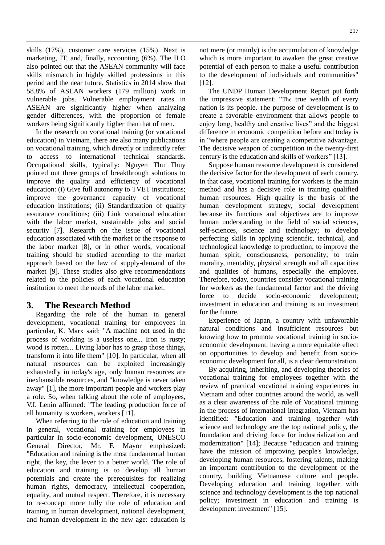skills (17%), customer care services (15%). Next is marketing, IT, and, finally, accounting (6%). The ILO also pointed out that the ASEAN community will face skills mismatch in highly skilled professions in this period and the near future. Statistics in 2014 show that 58.8% of ASEAN workers (179 million) work in vulnerable jobs. Vulnerable employment rates in ASEAN are significantly higher when analyzing gender differences, with the proportion of female workers being significantly higher than that of men.

In the research on vocational training (or vocational education) in Vietnam, there are also many publications on vocational training, which directly or indirectly refer to access to international technical standards. Occupational skills, typically: Nguyen Thu Thuy pointed out three groups of breakthrough solutions to improve the quality and efficiency of vocational education: (i) Give full autonomy to TVET institutions; improve the governance capacity of vocational education institutions; (ii) Standardization of quality assurance conditions; (iii) Link vocational education with the labor market, sustainable jobs and social security [7]. Research on the issue of vocational education associated with the market or the response to the labor market [8], or in other words, vocational training should be studied according to the market approach based on the law of supply-demand of the market [9]. These studies also give recommendations related to the policies of each vocational education institution to meet the needs of the labor market.

## **3. The Research Method**

Regarding the role of the human in general development, vocational training for employees in particular, K. Marx said: "A machine not used in the process of working is a useless one... Iron is rusty; wood is rotten... Living labor has to grasp those things, transform it into life them" [10]. In particular, when all natural resources can be exploited increasingly exhaustedly in today's age, only human resources are inexhaustible resources, and "knowledge is never taken away" [1], the more important people and workers play a role. So, when talking about the role of employees, V.I. Lenin affirmed: "The leading production force of all humanity is workers, workers [11].

When referring to the role of education and training in general, vocational training for employees in particular in socio-economic development, UNESCO General Director, Mr. F. Mayor emphasized: "Education and training is the most fundamental human right, the key, the lever to a better world. The role of education and training is to develop all human potentials and create the prerequisites for realizing human rights, democracy, intellectual cooperation, equality, and mutual respect. Therefore, it is necessary to re-concept more fully the role of education and training in human development, national development, and human development in the new age: education is

not mere (or mainly) is the accumulation of knowledge which is more important to awaken the great creative potential of each person to make a useful contribution to the development of individuals and communities" [12].

The UNDP Human Development Report put forth the impressive statement: "The true wealth of every nation is its people. The purpose of development is to create a favorable environment that allows people to enjoy long, healthy and creative lives" and the biggest difference in economic competition before and today is in "where people are creating a competitive advantage. The decisive weapon of competition in the twenty-first century is the education and skills of workers" [13].

Suppose human resource development is considered the decisive factor for the development of each country. In that case, vocational training for workers is the main method and has a decisive role in training qualified human resources. High quality is the basis of the human development strategy, social development because its functions and objectives are to improve human understanding in the field of social sciences, self-sciences, science and technology; to develop perfecting skills in applying scientific, technical, and technological knowledge to production; to improve the human spirit, consciousness, personality; to train morality, mentality, physical strength and all capacities and qualities of humans, especially the employee. Therefore, today, countries consider vocational training for workers as the fundamental factor and the driving force to decide socio-economic development; investment in education and training is an investment for the future.

Experience of Japan, a country with unfavorable natural conditions and insufficient resources but knowing how to promote vocational training in socioeconomic development, having a more equitable effect on opportunities to develop and benefit from socioeconomic development for all, is a clear demonstration.

By acquiring, inheriting, and developing theories of vocational training for employees together with the review of practical vocational training experiences in Vietnam and other countries around the world, as well as a clear awareness of the role of Vocational training in the process of international integration, Vietnam has identified: "Education and training together with science and technology are the top national policy, the foundation and driving force for industrialization and modernization" [14]; Because "education and training have the mission of improving people's knowledge, developing human resources, fostering talents, making an important contribution to the development of the country, building Vietnamese culture and people. Developing education and training together with science and technology development is the top national policy; investment in education and training is development investment" [15].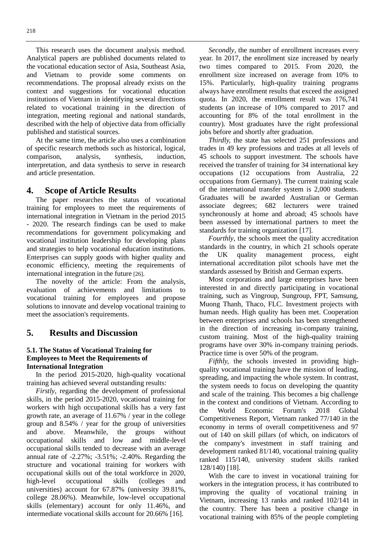This research uses the document analysis method. Analytical papers are published documents related to the vocational education sector of Asia, Southeast Asia, and Vietnam to provide some comments on recommendations. The proposal already exists on the context and suggestions for vocational education institutions of Vietnam in identifying several directions related to vocational training in the direction of integration, meeting regional and national standards, described with the help of objective data from officially published and statistical sources.

At the same time, the article also uses a combination of specific research methods such as historical, logical, comparison, analysis, synthesis, induction, interpretation, and data synthesis to serve in research and article presentation.

#### **4. Scope of Article Results**

The paper researches the status of vocational training for employees to meet the requirements of international integration in Vietnam in the period 2015 - 2020. The research findings can be used to make recommendations for government policymaking and vocational institution leadership for developing plans and strategies to help vocational education institutions. Enterprises can supply goods with higher quality and economic efficiency, meeting the requirements of international integration in the future [26].

The novelty of the article: From the analysis, evaluation of achievements and limitations to vocational training for employees and propose solutions to innovate and develop vocational training to meet the association's requirements.

#### **5. Results and Discussion**

#### **5.1. The Status of Vocational Training for Employees to Meet the Requirements of International Integration**

In the period 2015-2020, high-quality vocational training has achieved several outstanding results:

*Firstly*, regarding the development of professional skills, in the period 2015-2020, vocational training for workers with high occupational skills has a very fast growth rate, an average of 11.67% / year in the college group and 8.54% / year for the group of universities and above. Meanwhile, the groups without occupational skills and low and middle-level occupational skills tended to decrease with an average annual rate of -2.27%; -3.51%; -2.40%. Regarding the structure and vocational training for workers with occupational skills out of the total workforce in 2020, high-level occupational skills (colleges and universities) account for 67.87% (university 39.81%, college 28.06%). Meanwhile, low-level occupational skills (elementary) account for only 11.46%, and intermediate vocational skills account for 20.66% [16].

*Secondly*, the number of enrollment increases every year. In 2017, the enrollment size increased by nearly two times compared to 2015. From 2020, the enrollment size increased on average from 10% to 15%. Particularly, high-quality training programs always have enrollment results that exceed the assigned quota. In 2020, the enrollment result was 176,741 students (an increase of 10% compared to 2017 and accounting for 8% of the total enrollment in the country). Most graduates have the right professional jobs before and shortly after graduation.

*Thirdly,* the state has selected 251 professions and trades in 49 key professions and trades at all levels of 45 schools to support investment. The schools have received the transfer of training for 34 international key occupations (12 occupations from Australia, 22 occupations from Germany). The current training scale of the international transfer system is 2,000 students. Graduates will be awarded Australian or German associate degrees; 682 lecturers were trained synchronously at home and abroad; 45 schools have been assessed by international partners to meet the standards for training organization [17].

*Fourthly*, the schools meet the quality accreditation standards in the country, in which 21 schools operate the UK quality management process, eight international accreditation pilot schools have met the standards assessed by British and German experts.

Most corporations and large enterprises have been interested in and directly participating in vocational training, such as Vingroup, Sungroup, FPT, Samsung, Muong Thanh, Thaco, FLC. Investment projects with human needs. High quality has been met. Cooperation between enterprises and schools has been strengthened in the direction of increasing in-company training, custom training. Most of the high-quality training programs have over 30% in-company training periods. Practice time is over 50% of the program.

*Fifthly,* the schools invested in providing highquality vocational training have the mission of leading, spreading, and impacting the whole system. In contrast, the system needs to focus on developing the quantity and scale of the training. This becomes a big challenge in the context and conditions of Vietnam. According to the World Economic Forum's 2018 Global Competitiveness Report, Vietnam ranked 77/140 in the economy in terms of overall competitiveness and 97 out of 140 on skill pillars (of which, on indicators of the company's investment in staff training and development ranked 81/140, vocational training quality ranked 115/140, university student skills ranked 128/140) [18].

With the care to invest in vocational training for workers in the integration process, it has contributed to improving the quality of vocational training in Vietnam, increasing 13 ranks and ranked 102/141 in the country. There has been a positive change in vocational training with 85% of the people completing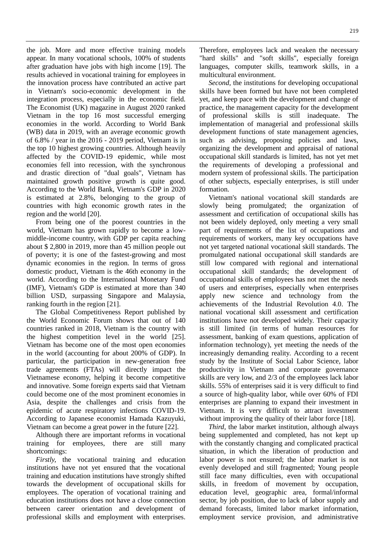the job. More and more effective training models appear. In many vocational schools, 100% of students after graduation have jobs with high income [19]. The results achieved in vocational training for employees in the innovation process have contributed an active part in Vietnam's socio-economic development in the integration process, especially in the economic field. The Economist (UK) magazine in August 2020 ranked Vietnam in the top 16 most successful emerging economies in the world. According to World Bank (WB) data in 2019, with an average economic growth of 6.8% / year in the 2016 - 2019 period, Vietnam is in the top 10 highest growing countries. Although heavily affected by the COVID-19 epidemic, while most economies fell into recession, with the synchronous and drastic direction of "dual goals", Vietnam has maintained growth positive growth is quite good. According to the World Bank, Vietnam's GDP in 2020 is estimated at 2.8%, belonging to the group of countries with high economic growth rates in the region and the world [20].

From being one of the poorest countries in the world, Vietnam has grown rapidly to become a lowmiddle-income country, with GDP per capita reaching about \$ 2,800 in 2019, more than 45 million people out of poverty; it is one of the fastest-growing and most dynamic economies in the region. In terms of gross domestic product, Vietnam is the 46th economy in the world. According to the International Monetary Fund (IMF), Vietnam's GDP is estimated at more than 340 billion USD, surpassing Singapore and Malaysia, ranking fourth in the region [21].

The Global Competitiveness Report published by the World Economic Forum shows that out of 140 countries ranked in 2018, Vietnam is the country with the highest competition level in the world [25]. Vietnam has become one of the most open economies in the world (accounting for about 200% of GDP). In particular, the participation in new-generation free trade agreements (FTAs) will directly impact the Vietnamese economy, helping it become competitive and innovative. Some foreign experts said that Vietnam could become one of the most prominent economies in Asia, despite the challenges and crisis from the epidemic of acute respiratory infections COVID-19. According to Japanese economist Hamada Kazuyuki, Vietnam can become a great power in the future [22].

Although there are important reforms in vocational training for employees, there are still many shortcomings:

*Firstly,* the vocational training and education institutions have not yet ensured that the vocational training and education institutions have strongly shifted towards the development of occupational skills for employees. The operation of vocational training and education institutions does not have a close connection between career orientation and development of professional skills and employment with enterprises.

Therefore, employees lack and weaken the necessary "hard skills" and "soft skills", especially foreign languages, computer skills, teamwork skills, in a multicultural environment.

*Second,* the institutions for developing occupational skills have been formed but have not been completed yet, and keep pace with the development and change of practice, the management capacity for the development of professional skills is still inadequate. The implementation of managerial and professional skills development functions of state management agencies, such as advising, proposing policies and laws, organizing the development and appraisal of national occupational skill standards is limited, has not yet met the requirements of developing a professional and modern system of professional skills. The participation of other subjects, especially enterprises, is still under formation.

Vietnam's national vocational skill standards are slowly being promulgated; the organization of assessment and certification of occupational skills has not been widely deployed, only meeting a very small part of requirements of the list of occupations and requirements of workers, many key occupations have not yet targeted national vocational skill standards. The promulgated national occupational skill standards are still low compared with regional and international occupational skill standards; the development of occupational skills of employees has not met the needs of users and enterprises, especially when enterprises apply new science and technology from the achievements of the Industrial Revolution 4.0. The national vocational skill assessment and certification institutions have not developed widely. Their capacity is still limited (in terms of human resources for assessment, banking of exam questions, application of information technology), yet meeting the needs of the increasingly demanding reality. According to a recent study by the Institute of Social Labor Science, labor productivity in Vietnam and corporate governance skills are very low, and 2/3 of the employees lack labor skills. 55% of enterprises said it is very difficult to find a source of high-quality labor, while over 60% of FDI enterprises are planning to expand their investment in Vietnam. It is very difficult to attract investment without improving the quality of their labor force [18].

*Third,* the labor market institution, although always being supplemented and completed, has not kept up with the constantly changing and complicated practical situation, in which the liberation of production and labor power is not ensured; the labor market is not evenly developed and still fragmented; Young people still face many difficulties, even with occupational skills, in freedom of movement by occupation, education level, geographic area, formal/informal sector, by job position, due to lack of labor supply and demand forecasts, limited labor market information, employment service provision, and administrative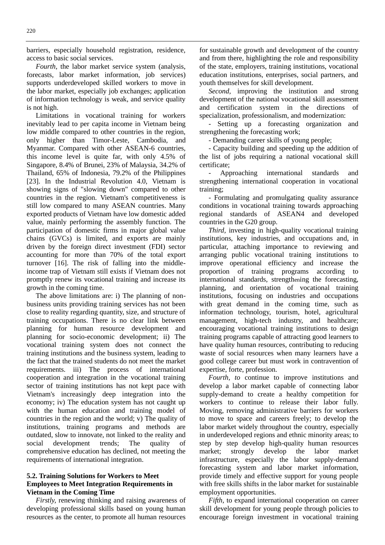barriers, especially household registration, residence, access to basic social services.

*Fourth,* the labor market service system (analysis, forecasts, labor market information, job services) supports underdeveloped skilled workers to move in the labor market, especially job exchanges; application of information technology is weak, and service quality is not high.

Limitations in vocational training for workers inevitably lead to per capita income in Vietnam being low middle compared to other countries in the region, only higher than Timor-Leste, Cambodia, and Myanmar. Compared with other ASEAN-6 countries, this income level is quite far, with only 4.5% of Singapore, 8.4% of Brunei, 23% of Malaysia, 34.2% of Thailand, 65% of Indonesia, 79.2% of the Philippines [23]. In the Industrial Revolution 4.0, Vietnam is showing signs of "slowing down" compared to other countries in the region. Vietnam's competitiveness is still low compared to many ASEAN countries. Many exported products of Vietnam have low domestic added value, mainly performing the assembly function. The participation of domestic firms in major global value chains (GVCs) is limited, and exports are mainly driven by the foreign direct investment (FDI) sector accounting for more than 70% of the total export turnover [16]. The risk of falling into the middleincome trap of Vietnam still exists if Vietnam does not promptly renew its vocational training and increase its growth in the coming time.

The above limitations are: i) The planning of nonbusiness units providing training services has not been close to reality regarding quantity, size, and structure of training occupations. There is no clear link between planning for human resource development and planning for socio-economic development; ii) The vocational training system does not connect the training institutions and the business system, leading to the fact that the trained students do not meet the market requirements. iii) The process of international cooperation and integration in the vocational training sector of training institutions has not kept pace with Vietnam's increasingly deep integration into the economy; iv) The education system has not caught up with the human education and training model of countries in the region and the world; v) The quality of institutions, training programs and methods are outdated, slow to innovate, not linked to the reality and social development trends; The quality of comprehensive education has declined, not meeting the requirements of international integration.

#### **5.2. Training Solutions for Workers to Meet Employees to Meet Integration Requirements in Vietnam in the Coming Time**

*Firstly,* renewing thinking and raising awareness of developing professional skills based on young human resources as the center, to promote all human resources

for sustainable growth and development of the country and from there, highlighting the role and responsibility of the state, employers, training institutions, vocational education institutions, enterprises, social partners, and youth themselves for skill development.

*Second,* improving the institution and strong development of the national vocational skill assessment and certification system in the directions of specialization, professionalism, and modernization:

- Setting up a forecasting organization and strengthening the forecasting work;

- Demanding career skills of young people;

- Capacity building and speeding up the addition of the list of jobs requiring a national vocational skill certificate;

- Approaching international standards and strengthening international cooperation in vocational training;

- Formulating and promulgating quality assurance conditions in vocational training towards approaching regional standards of ASEAN4 and developed countries in the G20 group.

*Third,* investing in high-quality vocational training institutions, key industries, and occupations and, in particular, attaching importance to reviewing and arranging public vocational training institutions to improve operational efficiency and increase the proportion of training programs according to international standards, strengthening the forecasting, planning, and orientation of vocational training institutions, focusing on industries and occupations with great demand in the coming time, such as information technology, tourism, hotel, agricultural management, high-tech industry, and healthcare; encouraging vocational training institutions to design training programs capable of attracting good learners to have quality human resources, contributing to reducing waste of social resources when many learners have a good college career but must work in contravention of expertise, forte, profession.

*Fourth, to* continue to improve institutions and develop a labor market capable of connecting labor supply-demand to create a healthy competition for workers to continue to release their labor fully. Moving, removing administrative barriers for workers to move to space and careers freely; to develop the labor market widely throughout the country, especially in underdeveloped regions and ethnic minority areas; to step by step develop high-quality human resources market; strongly develop the labor market infrastructure, especially the labor supply-demand forecasting system and labor market information, provide timely and effective support for young people with free skills shifts in the labor market for sustainable employment opportunities.

*Fifth,* to expand international cooperation on career skill development for young people through policies to encourage foreign investment in vocational training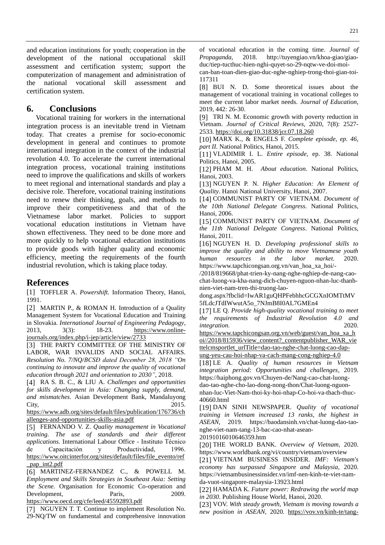and education institutions for youth; cooperation in the development of the national occupational skill assessment and certification system; support the computerization of management and administration of the national vocational skill assessment and certification system.

### **6. Conclusions**

Vocational training for workers in the international integration process is an inevitable trend in Vietnam today. That creates a premise for socio-economic development in general and continues to promote international integration in the context of the industrial revolution 4.0. To accelerate the current international integration process, vocational training institutions need to improve the qualifications and skills of workers to meet regional and international standards and play a decisive role. Therefore, vocational training institutions need to renew their thinking, goals, and methods to improve their competitiveness and that of the Vietnamese labor market. Policies to support vocational education institutions in Vietnam have shown effectiveness. They need to be done more and more quickly to help vocational education institutions to provide goods with higher quality and economic efficiency, meeting the requirements of the fourth industrial revolution, which is taking place today.

#### **References**

[1] TOFFLER A. *Powershift*. Information Theory, Hanoi, 1991.

[2] MARTIN P., & ROMAN H. Introduction of a Quality Management System for Vocational Education and Training in Slovakia. *International Journal of Engineering Pedagogy*, 2013, 3(3): 18-23. [https://www.online](https://www.online-journals.org/index.php/i-jep/article/view/2733)[journals.org/index.php/i-jep/article/view/2733](https://www.online-journals.org/index.php/i-jep/article/view/2733)

[3] THE PARTY COMMITTEE OF THE MINISTRY OF LABOR, WAR INVALIDS AND SOCIAL AFFAIRS. *Resolution No. 7/NQ/BCSĐ dated December 28, 2018 "On continuing to innovate and improve the quality of vocational education through 2021 and orientation to 2030",* 2018.

[4] RA S. B. C., & LIU A. *Challenges and opportunities for skills development in Asia: Changing supply, demand, and mismatches*. Asian Development Bank, Mandaluyong City,  $2015$ .

[https://www.adb.org/sites/default/files/publication/176736/ch](https://www.adb.org/sites/default/files/publication/176736/challenges-and-opportunities-skills-asia.pdf) [allenges-and-opportunities-skills-asia.pdf](https://www.adb.org/sites/default/files/publication/176736/challenges-and-opportunities-skills-asia.pdf)

[5] FERNANDO V. Z. *Quality management in Vocational training. The use of standards and their different applications.* International Labour Office - Instituto Técnico de Capacitación y Productividad, 1996. [https://www.oitcinterfor.org/sites/default/files/file\\_evento/ref](https://www.oitcinterfor.org/sites/default/files/file_evento/ref_pap_int2.pdf) [\\_pap\\_int2.pdf](https://www.oitcinterfor.org/sites/default/files/file_evento/ref_pap_int2.pdf)

[6] MARTINEZ-FERNANDEZ C., & POWELL M. *Employment and Skills Strategies in Southeast Asia: Setting the Scene.* Organisation for Economic Co-operation and Development, Paris, 2009.

<https://www.oecd.org/cfe/leed/45592893.pdf>

[7] NGUYEN T. T. Continue to implement Resolution No. 29-NQ/TW on fundamental and comprehensive innovation

of vocational education in the coming time. *Journal of Propaganda,* 2018. [http://tuyengiao.vn/khoa-giao/giao](http://tuyengiao.vn/khoa-giao/giao-duc/tiep-tucthuc-hien-nghi-quyet-so-29-nqtw-ve-doi-moi-can-ban-toan-dien-giao-duc-nghe-nghiep-trong-thoi-gian-toi-%20117311)[duc/tiep-tucthuc-hien-nghi-quyet-so-29-nqtw-ve-doi-moi-](http://tuyengiao.vn/khoa-giao/giao-duc/tiep-tucthuc-hien-nghi-quyet-so-29-nqtw-ve-doi-moi-can-ban-toan-dien-giao-duc-nghe-nghiep-trong-thoi-gian-toi-%20117311)

[can-ban-toan-dien-giao-duc-nghe-nghiep-trong-thoi-gian-toi-](http://tuyengiao.vn/khoa-giao/giao-duc/tiep-tucthuc-hien-nghi-quyet-so-29-nqtw-ve-doi-moi-can-ban-toan-dien-giao-duc-nghe-nghiep-trong-thoi-gian-toi-%20117311)[117311](http://tuyengiao.vn/khoa-giao/giao-duc/tiep-tucthuc-hien-nghi-quyet-so-29-nqtw-ve-doi-moi-can-ban-toan-dien-giao-duc-nghe-nghiep-trong-thoi-gian-toi-%20117311) 

[8] BUI N. D. Some theoretical issues about the management of vocational training in vocational colleges to meet the current labor market needs. *Journal of Education*, 2019, 442: 26-30.

[9] TRI N. M. Economic growth with poverty reduction in Vietnam. *Journal of Critical Reviews,* 2020, 7(8): 2527- 2533. <https://doi.org/10.31838/jcr.07.18.260>

[10] MARX K., & ENGELS F. *Complete episode, ep. 46, part II.* National Politics, Hanoi, 2015.

[11] VLADIMIR I. L. *Entire episode,* ep. 38. National Politics, Hanoi, 2005.

[12] PHAM M. H. *About education.* National Politics, Hanoi, 2003.

[13] NGUYEN P. N. *Higher Education: An Element of Quality*. Hanoi National University, Hanoi, 2007.

[14] COMMUNIST PARTY OF VIETNAM. *Document of the 10th National Delegate Congress*. National Politics, Hanoi, 2006.

[15] COMMUNIST PARTY OF VIETNAM. *Document of the 11th National Delegate Congress*. National Politics, Hanoi, 2011.

[16] NGUYEN H. D. *Developing professional skills to improve the quality and ability to move Vietnamese youth human resources in the labor market.* 2020. [https://www.tapchicongsan.org.vn/van\\_hoa\\_xa\\_hoi/-](https://www.tapchicongsan.org.vn/van_hoa_xa_hoi/-/2018/819668/phat-trien-ky-nang-nghe-nghiep-de-nang-cao-chat-luong-va-kha-nang-dich-chuyen-nguon-nhan-luc-thanh-nien-viet-nam-tren-thi-truong-lao-dong.aspx?fbclid=IwAR1guQHPFebhhcGCGXnIOMTtMV5fLdcJTdIWwutA5o_7NJmB8I0AL7GMEn4)

[/2018/819668/phat-trien-ky-nang-nghe-nghiep-de-nang-cao](https://www.tapchicongsan.org.vn/van_hoa_xa_hoi/-/2018/819668/phat-trien-ky-nang-nghe-nghiep-de-nang-cao-chat-luong-va-kha-nang-dich-chuyen-nguon-nhan-luc-thanh-nien-viet-nam-tren-thi-truong-lao-dong.aspx?fbclid=IwAR1guQHPFebhhcGCGXnIOMTtMV5fLdcJTdIWwutA5o_7NJmB8I0AL7GMEn4)[chat-luong-va-kha-nang-dich-chuyen-nguon-nhan-luc-thanh](https://www.tapchicongsan.org.vn/van_hoa_xa_hoi/-/2018/819668/phat-trien-ky-nang-nghe-nghiep-de-nang-cao-chat-luong-va-kha-nang-dich-chuyen-nguon-nhan-luc-thanh-nien-viet-nam-tren-thi-truong-lao-dong.aspx?fbclid=IwAR1guQHPFebhhcGCGXnIOMTtMV5fLdcJTdIWwutA5o_7NJmB8I0AL7GMEn4)[nien-viet-nam-tren-thi-truong-lao-](https://www.tapchicongsan.org.vn/van_hoa_xa_hoi/-/2018/819668/phat-trien-ky-nang-nghe-nghiep-de-nang-cao-chat-luong-va-kha-nang-dich-chuyen-nguon-nhan-luc-thanh-nien-viet-nam-tren-thi-truong-lao-dong.aspx?fbclid=IwAR1guQHPFebhhcGCGXnIOMTtMV5fLdcJTdIWwutA5o_7NJmB8I0AL7GMEn4)

[dong.aspx?fbclid=IwAR1guQHPFebhhcGCGXnIOMTtMV](https://www.tapchicongsan.org.vn/van_hoa_xa_hoi/-/2018/819668/phat-trien-ky-nang-nghe-nghiep-de-nang-cao-chat-luong-va-kha-nang-dich-chuyen-nguon-nhan-luc-thanh-nien-viet-nam-tren-thi-truong-lao-dong.aspx?fbclid=IwAR1guQHPFebhhcGCGXnIOMTtMV5fLdcJTdIWwutA5o_7NJmB8I0AL7GMEn4) [5fLdcJTdIWwutA5o\\_7NJmB8I0AL7GMEn4](https://www.tapchicongsan.org.vn/van_hoa_xa_hoi/-/2018/819668/phat-trien-ky-nang-nghe-nghiep-de-nang-cao-chat-luong-va-kha-nang-dich-chuyen-nguon-nhan-luc-thanh-nien-viet-nam-tren-thi-truong-lao-dong.aspx?fbclid=IwAR1guQHPFebhhcGCGXnIOMTtMV5fLdcJTdIWwutA5o_7NJmB8I0AL7GMEn4)

[17] LE Q. *Provide high-quality vocational training to meet the requirements of Industrial Revolution 4.0 and integration.* 2020.

[https://www.tapchicongsan.org.vn/web/guest/van\\_hoa\\_xa\\_h](https://www.tapchicongsan.org.vn/web/guest/van_hoa_xa_hoi/2018/815936/view_content?_contentpublisher_WAR_viettelcmsportlet_urlTitle=dao-tao-nghe-chat-luong-cao-dap-ung-yeu-cau-hoi-nhap-va-cach-mang-cong-nghiep-4.0) [oi//2018/815936/view\\_content?\\_contentpublisher\\_WAR\\_vie](https://www.tapchicongsan.org.vn/web/guest/van_hoa_xa_hoi/2018/815936/view_content?_contentpublisher_WAR_viettelcmsportlet_urlTitle=dao-tao-nghe-chat-luong-cao-dap-ung-yeu-cau-hoi-nhap-va-cach-mang-cong-nghiep-4.0) [ttelcmsportlet\\_urlTitle=dao-tao-nghe-chat-luong-cao-dap](https://www.tapchicongsan.org.vn/web/guest/van_hoa_xa_hoi/2018/815936/view_content?_contentpublisher_WAR_viettelcmsportlet_urlTitle=dao-tao-nghe-chat-luong-cao-dap-ung-yeu-cau-hoi-nhap-va-cach-mang-cong-nghiep-4.0)[ung-yeu-cau-hoi-nhap-va-cach-mang-cong-nghiep-4.0](https://www.tapchicongsan.org.vn/web/guest/van_hoa_xa_hoi/2018/815936/view_content?_contentpublisher_WAR_viettelcmsportlet_urlTitle=dao-tao-nghe-chat-luong-cao-dap-ung-yeu-cau-hoi-nhap-va-cach-mang-cong-nghiep-4.0)

[18] LE A. *Quality of human resources in Vietnam integration period: Opportunities and challenges,* 2019. [https://haiphong.gov.vn/Chuyen-de/Nang-cao-chat-luong](https://haiphong.gov.vn/Chuyen-de/Nang-cao-chat-luong-dao-tao-nghe-cho-lao-dong-nong-thon/Chat-luong-nguon-nhan-luc-Viet-Nam-thoi-ky-hoi-nhap-Co-hoi-va-thach-thuc-40660.html)[dao-tao-nghe-cho-lao-dong-nong-thon/Chat-luong-nguon](https://haiphong.gov.vn/Chuyen-de/Nang-cao-chat-luong-dao-tao-nghe-cho-lao-dong-nong-thon/Chat-luong-nguon-nhan-luc-Viet-Nam-thoi-ky-hoi-nhap-Co-hoi-va-thach-thuc-40660.html)[nhan-luc-Viet-Nam-thoi-ky-hoi-nhap-Co-hoi-va-thach-thuc-](https://haiphong.gov.vn/Chuyen-de/Nang-cao-chat-luong-dao-tao-nghe-cho-lao-dong-nong-thon/Chat-luong-nguon-nhan-luc-Viet-Nam-thoi-ky-hoi-nhap-Co-hoi-va-thach-thuc-40660.html)[40660.html](https://haiphong.gov.vn/Chuyen-de/Nang-cao-chat-luong-dao-tao-nghe-cho-lao-dong-nong-thon/Chat-luong-nguon-nhan-luc-Viet-Nam-thoi-ky-hoi-nhap-Co-hoi-va-thach-thuc-40660.html)

[19] DAN SINH NEWSPAPER. *Quality of vocational training in Vietnam increased 13 ranks, the highest in ASEAN,* 2019. [https://baodansinh.vn/chat-luong-dao-tao](https://baodansinh.vn/chat-luong-dao-tao-nghe-viet-nam-tang-13-bac-cao-nhat-asean-20191016010646359.htm)[nghe-viet-nam-tang-13-bac-cao-nhat-asean-](https://baodansinh.vn/chat-luong-dao-tao-nghe-viet-nam-tang-13-bac-cao-nhat-asean-20191016010646359.htm)

[20191016010646359.htm](https://baodansinh.vn/chat-luong-dao-tao-nghe-viet-nam-tang-13-bac-cao-nhat-asean-20191016010646359.htm)

[20] THE WORLD BANK. *Overview of Vietnam,* 2020. <https://www.worldbank.org/vi/country/vietnam/overview>

[21] VIETNAM BUSINESS INSIDER. *IMF: Vietnam's economy has surpassed Singapore and Malaysia,* 2020. [https://vietnambusinessinsider.vn/imf-nen-kinh-te-viet-nam](https://vietnambusinessinsider.vn/imf-nen-kinh-te-viet-nam-da-vuot-singapore-malaysia-13923.html)[da-vuot-singapore-malaysia-13923.html](https://vietnambusinessinsider.vn/imf-nen-kinh-te-viet-nam-da-vuot-singapore-malaysia-13923.html)

[22] HAMADA K. *Future power: Redrawing the world map in 2030*. Publishing House World, Hanoi, 2020.

[23] VOV. *With steady growth, Vietnam is moving towards a new position in ASEAN,* 2020. [https://vov.vn/kinh-te/tang-](https://vov.vn/kinh-te/tang-truong-vung-chac-viet-nam-huong-toi-vi-the-moi-trong-asean-1076709.vov)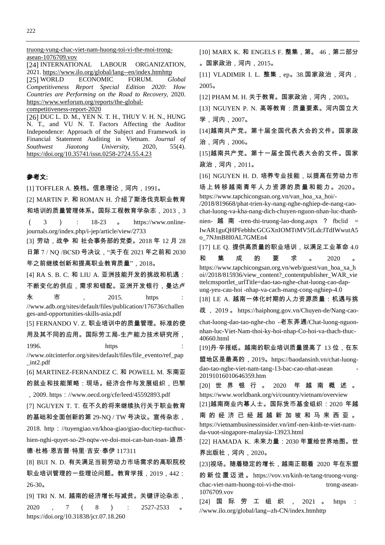[truong-vung-chac-viet-nam-huong-toi-vi-the-moi-trong](https://vov.vn/kinh-te/tang-truong-vung-chac-viet-nam-huong-toi-vi-the-moi-trong-asean-1076709.vov)[asean-1076709.vov](https://vov.vn/kinh-te/tang-truong-vung-chac-viet-nam-huong-toi-vi-the-moi-trong-asean-1076709.vov) [24] INTERNATIONAL LABOUR ORGANIZATION, 2021.<https://www.ilo.org/global/lang--en/index.htmhttp> [25] WORLD ECONOMIC FORUM. *Global Competitiveness Report Special Edition 2020: How Countries are Performing on the Road to Recovery,* 2020. [https://www.weforum.org/reports/the-global](https://www.weforum.org/reports/the-global-competitiveness-report-2020)[competitiveness-report-2020](https://www.weforum.org/reports/the-global-competitiveness-report-2020) [26] DUC L. D. M., YEN N. T. H., THUY V. H. N., HUNG N. T., and VU N. T. Factors Affecting the Auditor Independence: Approach of the Subject and Framework in Financial Statement Auditing in Vietnam. *Journal of Southwest Jiaotong University,* 2020, 55(4). <https://doi.org/10.35741/issn.0258-2724.55.4.23> 参考文: [1] TOFFLER A. 换档。信息理论,河内,1991。 [2] MARTIN P. 和 ROMAN H. 介绍了斯洛伐克职业教育 和培训的质量管理体系。国际工程教育学杂志, 2013, 3  $(3)$  : 18-23 a https://www.onlinejournals.org/index.php/i-jep/article/view/2733 [3] 劳动,战争 和 社会事务部的党委。2018 年 12 月 28 日第 7 / NQ /BCSÐ 号决议, "关于在 2021 年之前和 2030 年之前继续创新和提高职业教育质量",2018。 [4] RA S. B. C. 和 LIU A. 亚洲技能开发的挑战和机遇: 不断变化的供应,需求和错配。亚洲开发银行,曼达卢 永 市 , 2015. https : //www.adb.org/sites/default/files/publication/176736/challen ges-and-opportunities-skills-asia.pdf [5] FERNANDO V. Z. 职业培训中的质量管理。标准的使 用及其不同的应用。国际劳工局-生产能力技术研究所, 1996. **https** : //www.oitcinterfor.org/sites/default/files/file\_evento/ref\_pap \_int2.pdf [6] MARTINEZ-FERNANDEZ C. 和 POWELL M. 东南亚 的就业和技能策略:现场。经济合作与发展组织,巴黎 ,2009. https://www.oecd.org/cfe/leed/45592893.pdf [7] NGUYEN T. T. 在不久的将来继续执行关于职业教育 的基础和全面创新的第 29-NQ / TW 号决议。宣传杂志, 2018. http://tuyengiao.vn/khoa-giao/giao-duc/tiep-tucthuchien-nghi-quyet-so-29-nqtw-ve-doi-moi-can-ban-toan-迪昂· 德·杜格·恩吉普·特里·吉安·泰伊 117311 [8] BUI N. D. 有关满足当前劳动力市场需求的高职院校 职业培训管理的一些理论问题。教育学报,2019,442: 26-30。 [9] TRI N. M. 越南的经济增长与减贫。关键评论杂志,

2020 , 7 ( 8 ) : 2527-2533 。 https://doi.org/10.31838/jcr.07.18.260

[10] MARX K. 和 ENGELS F. 整集,第。 46,第二部分 。国家政治,河内,2015。 [11] VLADIMIR I. L. 整集,ep。38.国家政治,河内, 2005。 [12] PHAM M. H. 关于教育。国家政治,河内,2003。 [13] NGUYEN P. N. 高等教育:质量要素。河内国立大 学,河内,2007。 [14]越南共产党。第十届全国代表大会的文件。国家政 治,河内,2006。 [15]越南共产党。第十一届全国代表大会的文件。国家 政治,河内,2011。 [16] NGUYEN H. D. 培养专业技能,以提高在劳动力市 场上转移越南青年人力资源的质量和能力。2020。 https://www.tapchicongsan.org.vn/van\_hoa\_xa\_hoi/- /2018/819668/phat-trien-ky-nang-nghe-nghiep-de-nang-caochat-luong-va-kha-nang-dich-chuyen-nguon-nhan-luc-thanhnien- 越 南 -tren-thi-truong-lao-dong.aspx ? fbclid = IwAR1guQHPFebhhcGCGXnIOMTtMV5fLdcJTdIWwutA5 o\_7NJmB8I0AL7GMEn4 [17] LE Q. 提供高质量的职业培训,以满足工业革命 4.0 和 集 成 的 要 求 。 2020 。 https://www.tapchicongsan.org.vn/web/guest/van\_hoa\_xa\_h oi//2018/815936/view\_content?\_contentpublisher\_WAR\_vie ttelcmsportlet\_urlTitle=dao-tao-nghe-chat-luong-cao-dapung-yeu-cau-hoi -nhap-va-cach-mang-cong-nghiep-4.0 [18] LE A. 越南一体化时期的人力资源质量:机遇与挑 战 , 2019 。 https://haiphong.gov.vn/Chuyen-de/Nang-caochat-luong-dao-tao-nghe-cho -老东弄通/Chat-luong-nguonnhan-luc-Viet-Nam-thoi-ky-hoi-nhap-Co-hoi-va-thach-thuc-40660.html [19]丹·辛报纸。越南的职业培训质量提高了 13 位,在东 盟地区是最高的,2019。https://baodansinh.vn/chat-luongdao-tao-nghe-viet-nam-tang-13-bac-cao-nhat-asean - 20191016010646359.htm [20] 世界银行。 2020 年 越 南 概 述 。 https://www.worldbank.org/vi/country/vietnam/overview [21]越南商业内幕人士。国际货币基金组织:2020 年越 南 的 经 济 已 经 超 越 新 加 坡 和 马 来 西 亚 。 https://vietnambusinessinsider.vn/imf-nen-kinh-te-viet-namda-vuot-singapore-malaysia-13923.html [22] HAMADA K. 未来力量:2030 年重绘世界地图。世 界出版社,河内,2020。 [23]视场。随着稳定的增长,越南正朝着 2020 年在东盟

的新位置迈进。 https://vov.vn/kinh-te/tang-truong-vungchac-viet-nam-huong-toi-vi-the-moi- trong-asean-1076709.vov

[24] 国 际 劳 工 组 织 , 2021 。 https : //www.ilo.org/global/lang--zh-CN/index.htmhttp